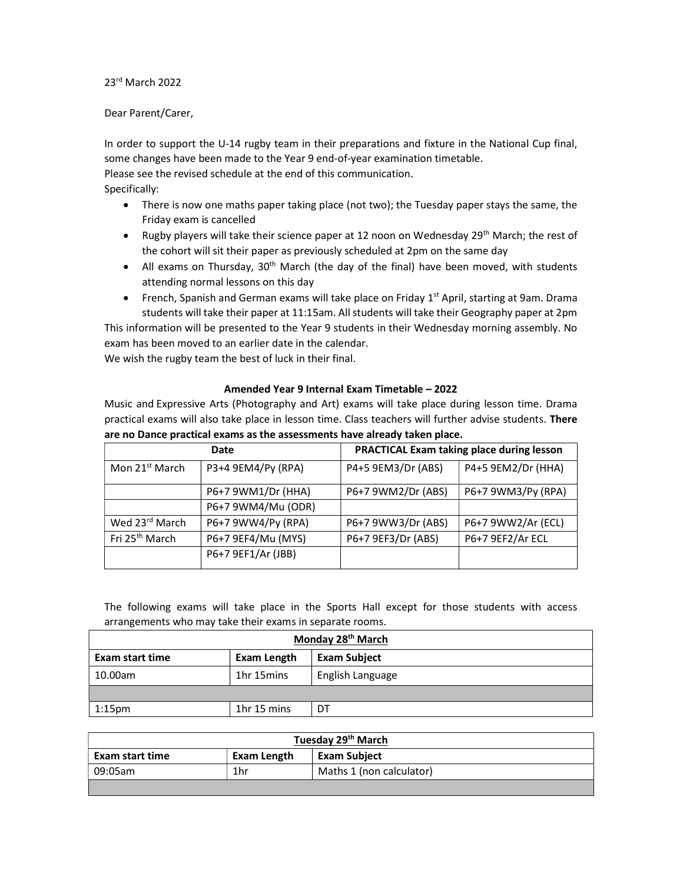## 23rd March 2022

## Dear Parent/Carer,

In order to support the U-14 rugby team in their preparations and fixture in the National Cup final, some changes have been made to the Year 9 end-of-year examination timetable.

Please see the revised schedule at the end of this communication.

Specifically:

- There is now one maths paper taking place (not two); the Tuesday paper stays the same, the Friday exam is cancelled
- Example V players will take their science paper at 12 noon on Wednesday 29<sup>th</sup> March; the rest of the cohort will sit their paper as previously scheduled at 2pm on the same day
- All exams on Thursday,  $30<sup>th</sup>$  March (the day of the final) have been moved, with students attending normal lessons on this day
- French, Spanish and German exams will take place on Friday  $1<sup>st</sup>$  April, starting at 9am. Drama students will take their paper at 11:15am. All students will take their Geography paper at 2pm

This information will be presented to the Year 9 students in their Wednesday morning assembly. No exam has been moved to an earlier date in the calendar.

We wish the rugby team the best of luck in their final.

## Amended Year 9 Internal Exam Timetable – 2022

Music and Expressive Arts (Photography and Art) exams will take place during lesson time. Drama practical exams will also take place in lesson time. Class teachers will further advise students. There are no Dance practical exams as the assessments have already taken place.

| Date                       |                    | PRACTICAL Exam taking place during lesson |                    |
|----------------------------|--------------------|-------------------------------------------|--------------------|
| Mon 21 <sup>st</sup> March | P3+4 9EM4/Py (RPA) | P4+5 9EM3/Dr (ABS)                        | P4+5 9EM2/Dr (HHA) |
|                            | P6+7 9WM1/Dr (HHA) | P6+7 9WM2/Dr (ABS)                        | P6+7 9WM3/Py (RPA) |
|                            | P6+7 9WM4/Mu (ODR) |                                           |                    |
| Wed 23rd March             | P6+7 9WW4/Py (RPA) | P6+7 9WW3/Dr (ABS)                        | P6+7 9WW2/Ar (ECL) |
| Fri 25 <sup>th</sup> March | P6+7 9EF4/Mu (MYS) | P6+7 9EF3/Dr (ABS)                        | P6+7 9EF2/Ar ECL   |
|                            | P6+7 9EF1/Ar (JBB) |                                           |                    |

The following exams will take place in the Sports Hall except for those students with access arrangements who may take their exams in separate rooms.

| Monday 28 <sup>th</sup> March |             |                     |
|-------------------------------|-------------|---------------------|
| Exam start time               | Exam Length | <b>Exam Subject</b> |
| 10.00am                       | 1hr 15mins  | English Language    |
|                               |             |                     |
| $1:15$ pm                     | 1hr 15 mins | DT                  |

| Tuesday 29 <sup>th</sup> March |             |                          |
|--------------------------------|-------------|--------------------------|
| Exam start time                | Exam Length | <b>Exam Subject</b>      |
| 09:05am                        | 1hr         | Maths 1 (non calculator) |
|                                |             |                          |